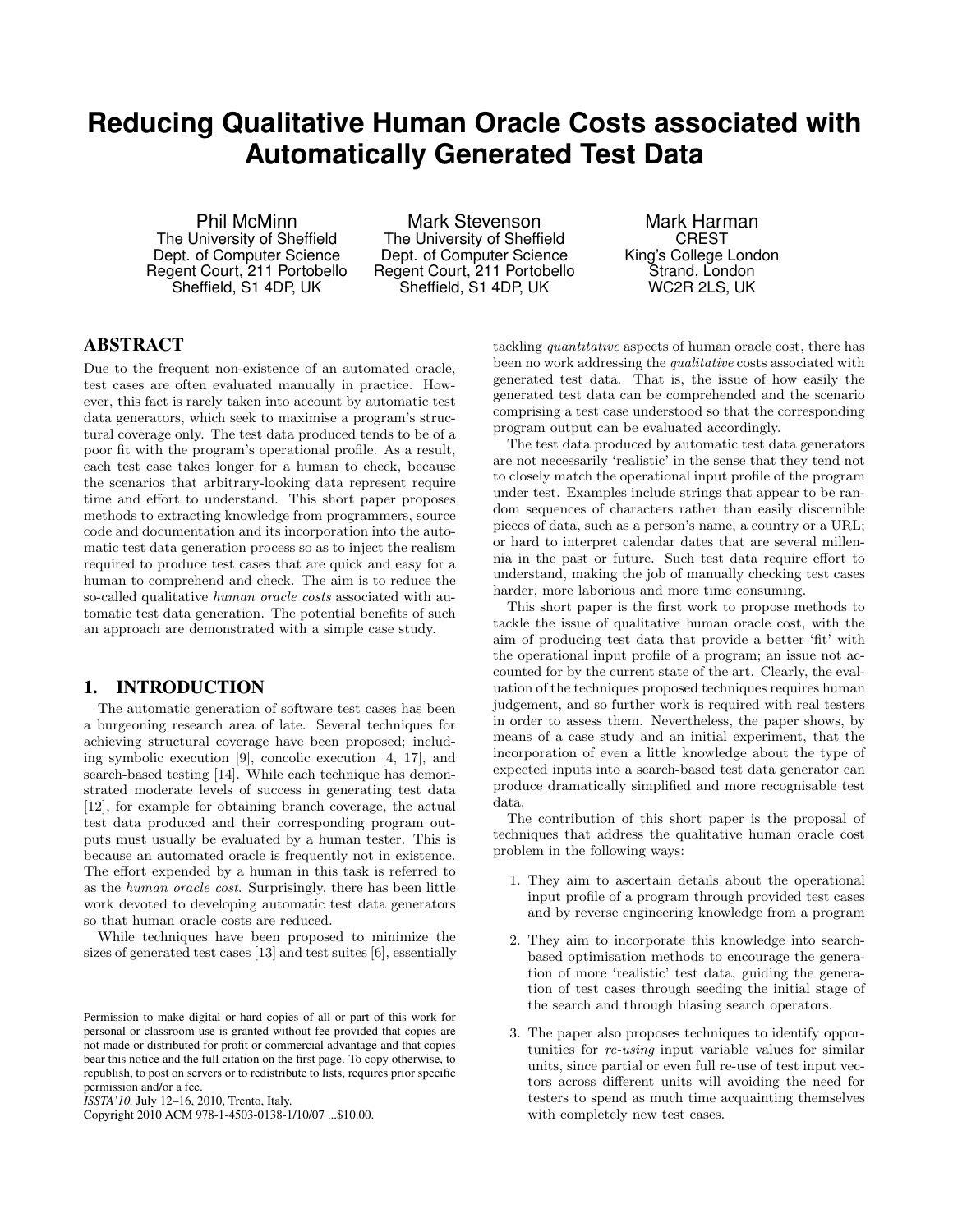# **Reducing Qualitative Human Oracle Costs associated with Automatically Generated Test Data**

Phil McMinn The University of Sheffield Dept. of Computer Science Regent Court, 211 Portobello Sheffield, S1 4DP, UK

Mark Stevenson The University of Sheffield Dept. of Computer Science Regent Court, 211 Portobello Sheffield, S1 4DP, UK

Mark Harman CREST King's College London Strand, London WC2R 2LS, UK

## ABSTRACT

Due to the frequent non-existence of an automated oracle, test cases are often evaluated manually in practice. However, this fact is rarely taken into account by automatic test data generators, which seek to maximise a program's structural coverage only. The test data produced tends to be of a poor fit with the program's operational profile. As a result, each test case takes longer for a human to check, because the scenarios that arbitrary-looking data represent require time and effort to understand. This short paper proposes methods to extracting knowledge from programmers, source code and documentation and its incorporation into the automatic test data generation process so as to inject the realism required to produce test cases that are quick and easy for a human to comprehend and check. The aim is to reduce the so-called qualitative *human oracle costs* associated with automatic test data generation. The potential benefits of such an approach are demonstrated with a simple case study.

#### 1. INTRODUCTION

The automatic generation of software test cases has been a burgeoning research area of late. Several techniques for achieving structural coverage have been proposed; including symbolic execution [9], concolic execution [4, 17], and search-based testing [14]. While each technique has demonstrated moderate levels of success in generating test data [12], for example for obtaining branch coverage, the actual test data produced and their corresponding program outputs must usually be evaluated by a human tester. This is because an automated oracle is frequently not in existence. The effort expended by a human in this task is referred to as the *human oracle cost*. Surprisingly, there has been little work devoted to developing automatic test data generators so that human oracle costs are reduced.

While techniques have been proposed to minimize the sizes of generated test cases [13] and test suites [6], essentially

Copyright 2010 ACM 978-1-4503-0138-1/10/07 ...\$10.00.

tackling *quantitative* aspects of human oracle cost, there has been no work addressing the *qualitative* costs associated with generated test data. That is, the issue of how easily the generated test data can be comprehended and the scenario comprising a test case understood so that the corresponding program output can be evaluated accordingly.

The test data produced by automatic test data generators are not necessarily 'realistic' in the sense that they tend not to closely match the operational input profile of the program under test. Examples include strings that appear to be random sequences of characters rather than easily discernible pieces of data, such as a person's name, a country or a URL; or hard to interpret calendar dates that are several millennia in the past or future. Such test data require effort to understand, making the job of manually checking test cases harder, more laborious and more time consuming.

This short paper is the first work to propose methods to tackle the issue of qualitative human oracle cost, with the aim of producing test data that provide a better 'fit' with the operational input profile of a program; an issue not accounted for by the current state of the art. Clearly, the evaluation of the techniques proposed techniques requires human judgement, and so further work is required with real testers in order to assess them. Nevertheless, the paper shows, by means of a case study and an initial experiment, that the incorporation of even a little knowledge about the type of expected inputs into a search-based test data generator can produce dramatically simplified and more recognisable test data.

The contribution of this short paper is the proposal of techniques that address the qualitative human oracle cost problem in the following ways:

- 1. They aim to ascertain details about the operational input profile of a program through provided test cases and by reverse engineering knowledge from a program
- 2. They aim to incorporate this knowledge into searchbased optimisation methods to encourage the generation of more 'realistic' test data, guiding the generation of test cases through seeding the initial stage of the search and through biasing search operators.
- 3. The paper also proposes techniques to identify opportunities for *re-using* input variable values for similar units, since partial or even full re-use of test input vectors across different units will avoiding the need for testers to spend as much time acquainting themselves with completely new test cases.

Permission to make digital or hard copies of all or part of this work for personal or classroom use is granted without fee provided that copies are not made or distributed for profit or commercial advantage and that copies bear this notice and the full citation on the first page. To copy otherwise, to republish, to post on servers or to redistribute to lists, requires prior specific permission and/or a fee.

*ISSTA'10,* July 12–16, 2010, Trento, Italy.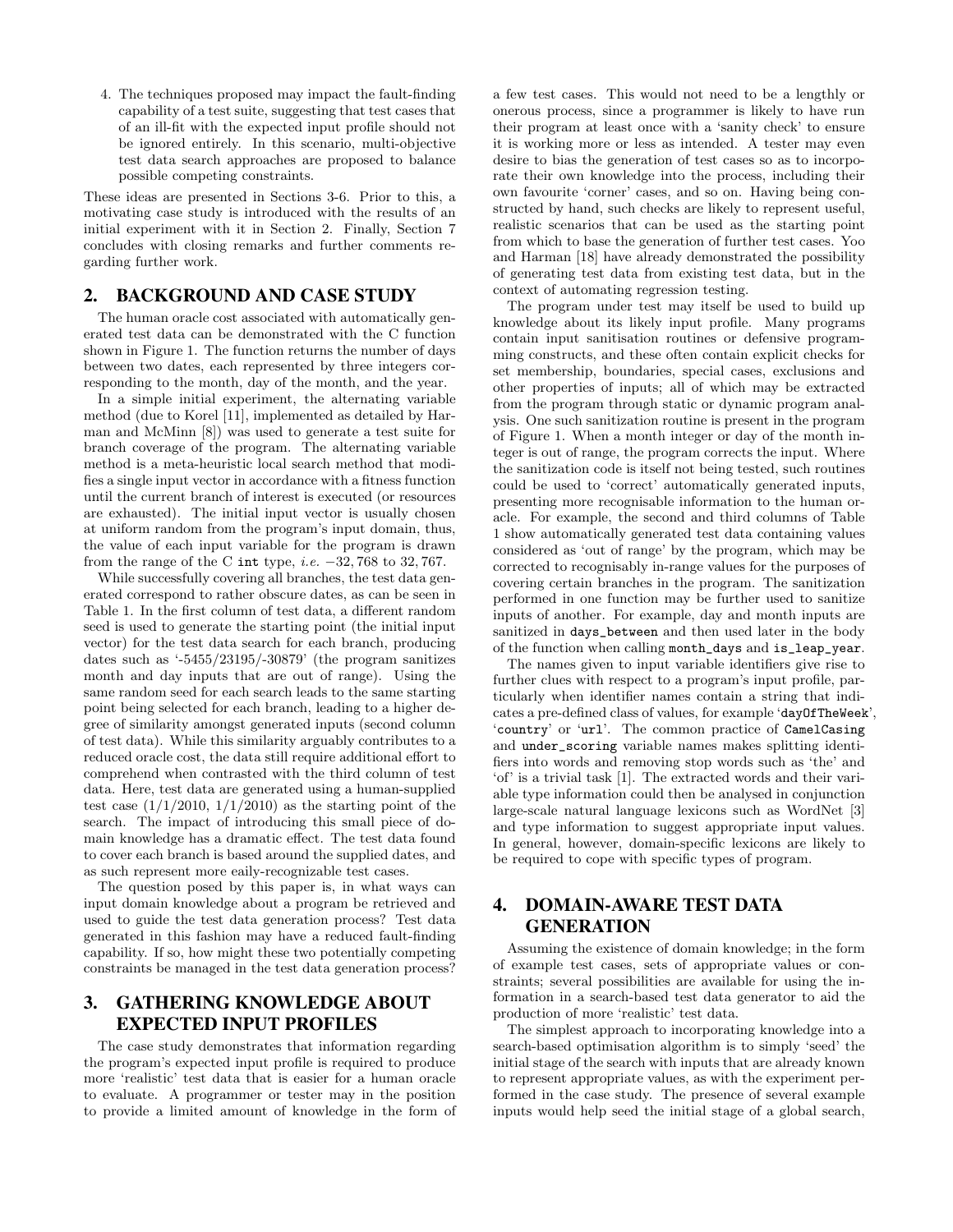4. The techniques proposed may impact the fault-finding capability of a test suite, suggesting that test cases that of an ill-fit with the expected input profile should not be ignored entirely. In this scenario, multi-objective test data search approaches are proposed to balance possible competing constraints.

These ideas are presented in Sections 3-6. Prior to this, a motivating case study is introduced with the results of an initial experiment with it in Section 2. Finally, Section 7 concludes with closing remarks and further comments regarding further work.

#### 2. BACKGROUND AND CASE STUDY

The human oracle cost associated with automatically generated test data can be demonstrated with the C function shown in Figure 1. The function returns the number of days between two dates, each represented by three integers corresponding to the month, day of the month, and the year.

In a simple initial experiment, the alternating variable method (due to Korel [11], implemented as detailed by Harman and McMinn [8]) was used to generate a test suite for branch coverage of the program. The alternating variable method is a meta-heuristic local search method that modifies a single input vector in accordance with a fitness function until the current branch of interest is executed (or resources are exhausted). The initial input vector is usually chosen at uniform random from the program's input domain, thus, the value of each input variable for the program is drawn from the range of the C int type, *i.e.* −32*,* 768 to 32*,* 767.

While successfully covering all branches, the test data generated correspond to rather obscure dates, as can be seen in Table 1. In the first column of test data, a different random seed is used to generate the starting point (the initial input vector) for the test data search for each branch, producing dates such as '-5455/23195/-30879' (the program sanitizes month and day inputs that are out of range). Using the same random seed for each search leads to the same starting point being selected for each branch, leading to a higher degree of similarity amongst generated inputs (second column of test data). While this similarity arguably contributes to a reduced oracle cost, the data still require additional effort to comprehend when contrasted with the third column of test data. Here, test data are generated using a human-supplied test case  $(1/1/2010, 1/1/2010)$  as the starting point of the search. The impact of introducing this small piece of domain knowledge has a dramatic effect. The test data found to cover each branch is based around the supplied dates, and as such represent more eaily-recognizable test cases.

The question posed by this paper is, in what ways can input domain knowledge about a program be retrieved and used to guide the test data generation process? Test data generated in this fashion may have a reduced fault-finding capability. If so, how might these two potentially competing constraints be managed in the test data generation process?

### 3. GATHERING KNOWLEDGE ABOUT EXPECTED INPUT PROFILES

The case study demonstrates that information regarding the program's expected input profile is required to produce more 'realistic' test data that is easier for a human oracle to evaluate. A programmer or tester may in the position to provide a limited amount of knowledge in the form of a few test cases. This would not need to be a lengthly or onerous process, since a programmer is likely to have run their program at least once with a 'sanity check' to ensure it is working more or less as intended. A tester may even desire to bias the generation of test cases so as to incorporate their own knowledge into the process, including their own favourite 'corner' cases, and so on. Having being constructed by hand, such checks are likely to represent useful, realistic scenarios that can be used as the starting point from which to base the generation of further test cases. Yoo and Harman [18] have already demonstrated the possibility of generating test data from existing test data, but in the context of automating regression testing.

The program under test may itself be used to build up knowledge about its likely input profile. Many programs contain input sanitisation routines or defensive programming constructs, and these often contain explicit checks for set membership, boundaries, special cases, exclusions and other properties of inputs; all of which may be extracted from the program through static or dynamic program analysis. One such sanitization routine is present in the program of Figure 1. When a month integer or day of the month integer is out of range, the program corrects the input. Where the sanitization code is itself not being tested, such routines could be used to 'correct' automatically generated inputs, presenting more recognisable information to the human oracle. For example, the second and third columns of Table 1 show automatically generated test data containing values considered as 'out of range' by the program, which may be corrected to recognisably in-range values for the purposes of covering certain branches in the program. The sanitization performed in one function may be further used to sanitize inputs of another. For example, day and month inputs are sanitized in days\_between and then used later in the body of the function when calling month\_days and is\_leap\_year.

The names given to input variable identifiers give rise to further clues with respect to a program's input profile, particularly when identifier names contain a string that indicates a pre-defined class of values, for example 'dayOfTheWeek', 'country' or 'url'. The common practice of CamelCasing and under\_scoring variable names makes splitting identifiers into words and removing stop words such as 'the' and 'of' is a trivial task [1]. The extracted words and their variable type information could then be analysed in conjunction large-scale natural language lexicons such as WordNet [3] and type information to suggest appropriate input values. In general, however, domain-specific lexicons are likely to be required to cope with specific types of program.

## 4. DOMAIN-AWARE TEST DATA GENERATION

Assuming the existence of domain knowledge; in the form of example test cases, sets of appropriate values or constraints; several possibilities are available for using the information in a search-based test data generator to aid the production of more 'realistic' test data.

The simplest approach to incorporating knowledge into a search-based optimisation algorithm is to simply 'seed' the initial stage of the search with inputs that are already known to represent appropriate values, as with the experiment performed in the case study. The presence of several example inputs would help seed the initial stage of a global search,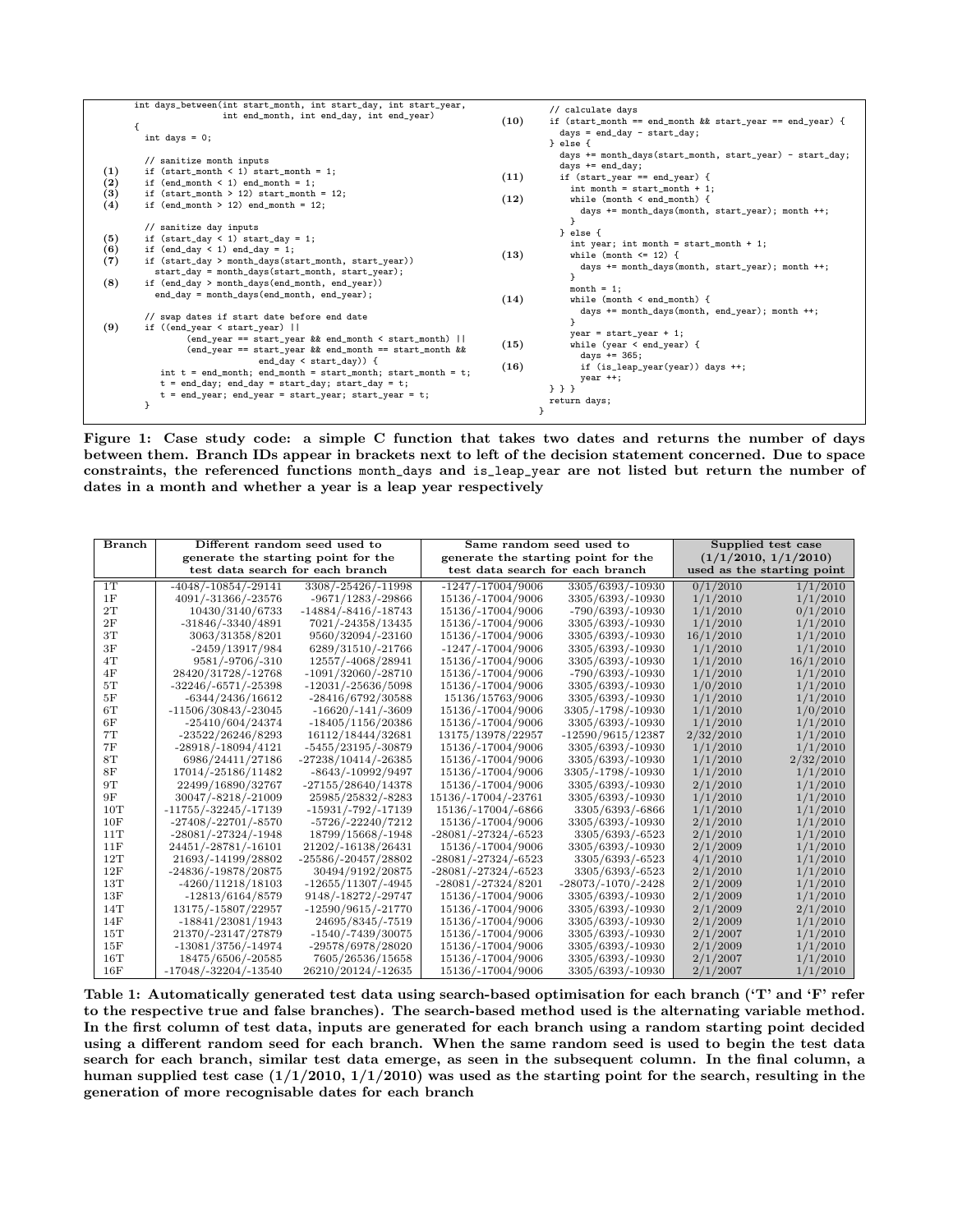|                          | int days_between(int start_month, int start_day, int start_year,<br>int end_month, int end_day, int end_year)<br>int days = $0$ ;                                                                                                                                                                                                                                                                                           | (10)         | // calculate days<br>if (start_month == end_month && start_year == end_year) {<br>$days = end_day - start_day;$<br>} else {                                                                                                                          |
|--------------------------|-----------------------------------------------------------------------------------------------------------------------------------------------------------------------------------------------------------------------------------------------------------------------------------------------------------------------------------------------------------------------------------------------------------------------------|--------------|------------------------------------------------------------------------------------------------------------------------------------------------------------------------------------------------------------------------------------------------------|
| (1)<br>(2)<br>(3)<br>(4) | // sanitize month inputs<br>if $(start\_month < 1) start\_month = 1;$<br>if $(end_{month} < 1) end_{month} = 1$ ;<br>if $(start\_month > 12) start\_month = 12$ ;<br>if $(end_{month} > 12)$ end_month = 12;                                                                                                                                                                                                                | (11)<br>(12) | days $+=$ month_days(start_month, start_year) - start_day;<br>days $+=$ end_day;<br>if $(start\_year == end\_year)$ {<br>$int$ month = start_month + 1;<br>while (month $\leq$ end_month) {<br>days $+=$ month_days(month, start_year); month $++$ ; |
| (5)<br>(6)<br>(7)<br>(8) | // sanitize day inputs<br>if $(start\_day < 1) start\_day = 1;$<br>if $(end_day < 1)$ end_day = 1;<br>if (start_day > month_days(start_month, start_year))<br>start_day = month_days(start_month, start_year);<br>if (end_day > month_days(end_month, end_year))<br>$end_day = month_days(end_month, end_year);$                                                                                                            | (13)<br>(14) | } else {<br>int year; int month = start_month + 1;<br>while (month $\leq$ 12) {<br>days $\pm$ month_days(month, start_year); month $\pm$ ;<br>ŀ<br>$month = 1$ :<br>while (month $\leq$ end_month) {                                                 |
| (9)                      | // swap dates if start date before end date<br>if $((end\_year < start\_year)$  <br>$(end_year == start_year \& end_model < start_month)$<br>(end_year == start_year && end_month == start_month &&<br>end_day $\leq$ start_day)) {<br>int $t = end_{month}$ ; end_month = start_month; start_month = t;<br>$t = end_day$ ; end_day = start_day; start_day = t;<br>$t = end\_year$ ; end_year = start_year; start_year = t; | (15)<br>(16) | days += month_days(month, end_year); month ++;<br>ŀ<br>$year = start\_year + 1;$<br>while (year $\le$ end_year) {<br>days $+= 365$ ;<br>if (is_leap_year(year)) days ++;<br>$year + +;$<br>$3$ } }<br>return days;                                   |

Figure 1: Case study code: a simple C function that takes two dates and returns the number of days between them. Branch IDs appear in brackets next to left of the decision statement concerned. Due to space constraints, the referenced functions month\_days and is\_leap\_year are not listed but return the number of dates in a month and whether a year is a leap year respectively

| Branch | Different random seed used to<br>generate the starting point for the<br>test data search for each branch |                        | Same random seed used to<br>generate the starting point for the<br>test data search for each branch |                        | Supplied test case<br>(1/1/2010, 1/1/2010)<br>used as the starting point |           |
|--------|----------------------------------------------------------------------------------------------------------|------------------------|-----------------------------------------------------------------------------------------------------|------------------------|--------------------------------------------------------------------------|-----------|
| 1T     | $-4048/-10854/-29141$                                                                                    | 3308/-25426/-11998     | $-1247/-17004/9006$                                                                                 | 3305/6393/-10930       | 0/1/2010                                                                 | 1/1/2010  |
| 1F     | 4091/-31366/-23576                                                                                       | -9671/1283/-29866      | 15136/-17004/9006                                                                                   | 3305/6393/-10930       | 1/1/2010                                                                 | 1/1/2010  |
| 2T     | 10430/3140/6733                                                                                          | $-14884/-8416/-18743$  | 15136/-17004/9006                                                                                   | -790/6393/-10930       | 1/1/2010                                                                 | 0/1/2010  |
| 2F     | $-31846/-3340/4891$                                                                                      | 7021/-24358/13435      | 15136/-17004/9006                                                                                   | 3305/6393/-10930       | 1/1/2010                                                                 | 1/1/2010  |
| 3T     | 3063/31358/8201                                                                                          | 9560/32094/-23160      | 15136/-17004/9006                                                                                   | 3305/6393/-10930       | 16/1/2010                                                                | 1/1/2010  |
| 3F     | $-2459/13917/984$                                                                                        | 6289/31510/-21766      | $-1247/ -17004/9006$                                                                                | 3305/6393/-10930       | 1/1/2010                                                                 | 1/1/2010  |
| 4T     | 9581/-9706/-310                                                                                          | 12557/-4068/28941      | 15136/-17004/9006                                                                                   | 3305/6393/-10930       | 1/1/2010                                                                 | 16/1/2010 |
| 4F     | 28420/31728/-12768                                                                                       | $-1091/32060/-28710$   | 15136/-17004/9006                                                                                   | -790/6393/-10930       | 1/1/2010                                                                 | 1/1/2010  |
| 5T     | $-32246/-6571/-25398$                                                                                    | $-12031/ -25636/5098$  | 15136/-17004/9006                                                                                   | 3305/6393/-10930       | 1/0/2010                                                                 | 1/1/2010  |
| 5F     | $-6344/2436/16612$                                                                                       | -28416/6792/30588      | 15136/15763/9006                                                                                    | 3305/6393/-10930       | 1/1/2010                                                                 | 1/1/2010  |
| 6T     | -11506/30843/-23045                                                                                      | $-16620/ -141/ -3609$  | 15136/-17004/9006                                                                                   | 3305/-1798/-10930      | 1/1/2010                                                                 | 1/0/2010  |
| 6F     | $-25410/604/24374$                                                                                       | $-18405/1156/20386$    | 15136/-17004/9006                                                                                   | 3305/6393/-10930       | 1/1/2010                                                                 | 1/1/2010  |
| 7T     | -23522/26246/8293                                                                                        | 16112/18444/32681      | 13175/13978/22957                                                                                   | $-12590/9615/12387$    | 2/32/2010                                                                | 1/1/2010  |
| 7F     | $-28918/-18094/4121$                                                                                     | -5455/23195/-30879     | 15136/-17004/9006                                                                                   | 3305/6393/-10930       | 1/1/2010                                                                 | 1/1/2010  |
| 8T     | 6986/24411/27186                                                                                         | -27238/10414/-26385    | 15136/-17004/9006                                                                                   | 3305/6393/-10930       | 1/1/2010                                                                 | 2/32/2010 |
| 8F     | 17014/-25186/11482                                                                                       | -8643/-10992/9497      | 15136/-17004/9006                                                                                   | 3305/-1798/-10930      | 1/1/2010                                                                 | 1/1/2010  |
| 9T     | 22499/16890/32767                                                                                        | $-27155/28640/14378$   | 15136/-17004/9006                                                                                   | 3305/6393/-10930       | 2/1/2010                                                                 | 1/1/2010  |
| 9F     | 30047/-8218/-21009                                                                                       | 25985/25832/-8283      | 15136/-17004/-23761                                                                                 | 3305/6393/-10930       | 1/1/2010                                                                 | 1/1/2010  |
| 10T    | -11755/-32245/-17139                                                                                     | $-15931/ -792/ -17139$ | 15136/-17004/-6866                                                                                  | 3305/6393/-6866        | 1/1/2010                                                                 | 1/1/2010  |
| 10F    | -27408/-22701/-8570                                                                                      | -5726/-22240/7212      | 15136/-17004/9006                                                                                   | 3305/6393/-10930       | 2/1/2010                                                                 | 1/1/2010  |
| 11T    | $-28081/-27324/-1948$                                                                                    | 18799/15668/-1948      | $-28081/-27324/-6523$                                                                               | 3305/6393/-6523        | 2/1/2010                                                                 | 1/1/2010  |
| 11F    | 24451/-28781/-16101                                                                                      | 21202/-16138/26431     | 15136/-17004/9006                                                                                   | 3305/6393/-10930       | 2/1/2009                                                                 | 1/1/2010  |
| 12T    | 21693/-14199/28802                                                                                       | -25586/-20457/28802    | $-28081/-27324/-6523$                                                                               | 3305/6393/-6523        | 4/1/2010                                                                 | 1/1/2010  |
| 12F    | -24836/-19878/20875                                                                                      | 30494/9192/20875       | $-28081/-27324/-6523$                                                                               | 3305/6393/-6523        | 2/1/2010                                                                 | 1/1/2010  |
| 13T    | -4260/11218/18103                                                                                        | $-12655/11307/ -4945$  | $-28081/-27324/8201$                                                                                | $-28073/ -1070/ -2428$ | 2/1/2009                                                                 | 1/1/2010  |
| 13F    | $-12813/6164/8579$                                                                                       | 9148/-18272/-29747     | 15136/-17004/9006                                                                                   | 3305/6393/-10930       | 2/1/2009                                                                 | 1/1/2010  |
| 14T    | 13175/-15807/22957                                                                                       | $-12590/9615/ -21770$  | 15136/-17004/9006                                                                                   | 3305/6393/-10930       | 2/1/2009                                                                 | 2/1/2010  |
| 14F    | $-18841/23081/1943$                                                                                      | 24695/8345/-7519       | 15136/-17004/9006                                                                                   | 3305/6393/-10930       | 2/1/2009                                                                 | 1/1/2010  |
| 15T    | 21370/-23147/27879                                                                                       | $-1540/-7439/30075$    | 15136/-17004/9006                                                                                   | 3305/6393/-10930       | 2/1/2007                                                                 | 1/1/2010  |
| 15F    | $-13081/3756/-14974$                                                                                     | -29578/6978/28020      | 15136/-17004/9006                                                                                   | 3305/6393/-10930       | 2/1/2009                                                                 | 1/1/2010  |
| 16T    | 18475/6506/-20585                                                                                        | 7605/26536/15658       | 15136/-17004/9006                                                                                   | 3305/6393/-10930       | 2/1/2007                                                                 | 1/1/2010  |
| 16F    | $-17048/-32204/-13540$                                                                                   | 26210/20124/-12635     | 15136/-17004/9006                                                                                   | 3305/6393/-10930       | 2/1/2007                                                                 | 1/1/2010  |

Table 1: Automatically generated test data using search-based optimisation for each branch ('T' and 'F' refer to the respective true and false branches). The search-based method used is the alternating variable method. In the first column of test data, inputs are generated for each branch using a random starting point decided using a different random seed for each branch. When the same random seed is used to begin the test data search for each branch, similar test data emerge, as seen in the subsequent column. In the final column, a human supplied test case  $(1/1/2010, 1/1/2010)$  was used as the starting point for the search, resulting in the generation of more recognisable dates for each branch